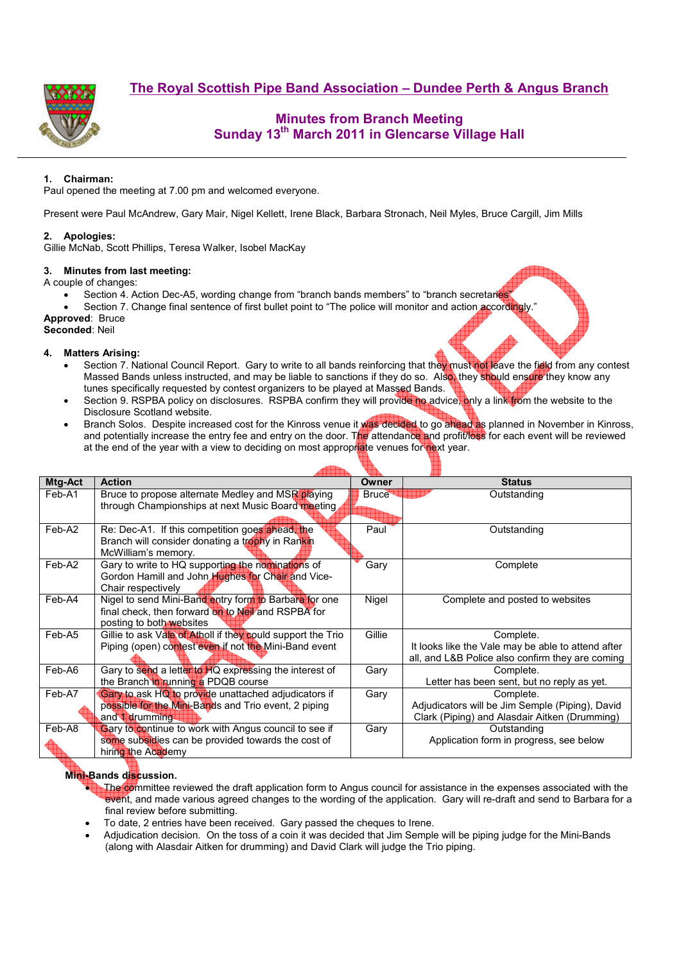**The Royal Scottish Pipe Band Association – Dundee Perth & Angus Branch**



# **Minutes from Branch Meeting Sunday 13th March 2011 in Glencarse Village Hall**

## **1. Chairman:**

Paul opened the meeting at 7.00 pm and welcomed everyone.

Present were Paul McAndrew, Gary Mair, Nigel Kellett, Irene Black, Barbara Stronach, Neil Myles, Bruce Cargill, Jim Mills

### **2. Apologies:**

Gillie McNab, Scott Phillips, Teresa Walker, Isobel MacKay

#### **3. Minutes from last meeting:**

A couple of changes:

- Section 4. Action Dec-A5, wording change from "branch bands members" to "branch secretaries"
- Section 7. Change final sentence of first bullet point to "The police will monitor and action accordingly."
- **Approved**: Bruce

#### **Seconded**: Neil

#### **4. Matters Arising:**

- Section 7. National Council Report. Gary to write to all bands reinforcing that they must not leave the field from any contest Massed Bands unless instructed, and may be liable to sanctions if they do so. Also, they should ensure they know any tunes specifically requested by contest organizers to be played at Massed Bands.
- Section 9. RSPBA policy on disclosures. RSPBA confirm they will provide no advice, only a link from the website to the Disclosure Scotland website.
- Branch Solos. Despite increased cost for the Kinross venue it was decided to go ahead as planned in November in Kinross, and potentially increase the entry fee and entry on the door. The attendance and profit/loss for each event will be reviewed at the end of the year with a view to deciding on most appropriate venues for next year.

| Mtg-Act | <b>Action</b>                                               | Owner        | <b>Status</b>                                      |  |  |  |  |
|---------|-------------------------------------------------------------|--------------|----------------------------------------------------|--|--|--|--|
| Feb-A1  | Bruce to propose alternate Medley and MSR playing           | <b>Bruce</b> | Outstanding                                        |  |  |  |  |
|         | through Championships at next Music Board meeting           |              |                                                    |  |  |  |  |
|         |                                                             |              |                                                    |  |  |  |  |
| Feb-A2  | Re: Dec-A1. If this competition goes ahead, the             | Paul         | Outstanding                                        |  |  |  |  |
|         | Branch will consider donating a trophy in Rankin            |              |                                                    |  |  |  |  |
|         | McWilliam's memory.                                         |              |                                                    |  |  |  |  |
| Feb-A2  | Gary to write to HQ supporting the nominations of           | Gary         | Complete                                           |  |  |  |  |
|         | Gordon Hamill and John Hughes for Chair and Vice-           |              |                                                    |  |  |  |  |
|         | Chair respectively                                          |              |                                                    |  |  |  |  |
| Feb-A4  | Nigel to send Mini-Band entry form to Barbara for one       | Nigel        | Complete and posted to websites                    |  |  |  |  |
|         | final check, then forward on to Neil and RSPBA for          |              |                                                    |  |  |  |  |
|         | posting to both websites                                    |              |                                                    |  |  |  |  |
| Feb-A5  | Gillie to ask Vale of Atholl if they could support the Trio | Gillie       | Complete.                                          |  |  |  |  |
|         | Piping (open) contest even if not the Mini-Band event       |              | It looks like the Vale may be able to attend after |  |  |  |  |
|         |                                                             |              | all, and L&B Police also confirm they are coming   |  |  |  |  |
| Feb-A6  | Gary to send a letter to HQ expressing the interest of      | Gary         | Complete.                                          |  |  |  |  |
|         | the Branch in running a PDQB course                         |              | Letter has been sent, but no reply as yet.         |  |  |  |  |
| Feb-A7  | Gary to ask HQ to provide unattached adjudicators if        | Gary         | Complete.                                          |  |  |  |  |
|         | possible for the Mini-Bands and Trio event, 2 piping        |              | Adjudicators will be Jim Semple (Piping), David    |  |  |  |  |
|         | and <b>f</b> drumming                                       |              | Clark (Piping) and Alasdair Aitken (Drumming)      |  |  |  |  |
| Feb-A8  | Gary to continue to work with Angus council to see if       | Gary         | Outstanding                                        |  |  |  |  |
|         | some subsidies can be provided towards the cost of          |              | Application form in progress, see below            |  |  |  |  |
|         | hiring the Academy                                          |              |                                                    |  |  |  |  |

### **Mini-Bands discussion.**

- The committee reviewed the draft application form to Angus council for assistance in the expenses associated with the event, and made various agreed changes to the wording of the application. Gary will re-draft and send to Barbara for a final review before submitting.
- To date, 2 entries have been received. Gary passed the cheques to Irene.
- Adjudication decision. On the toss of a coin it was decided that Jim Semple will be piping judge for the Mini-Bands (along with Alasdair Aitken for drumming) and David Clark will judge the Trio piping.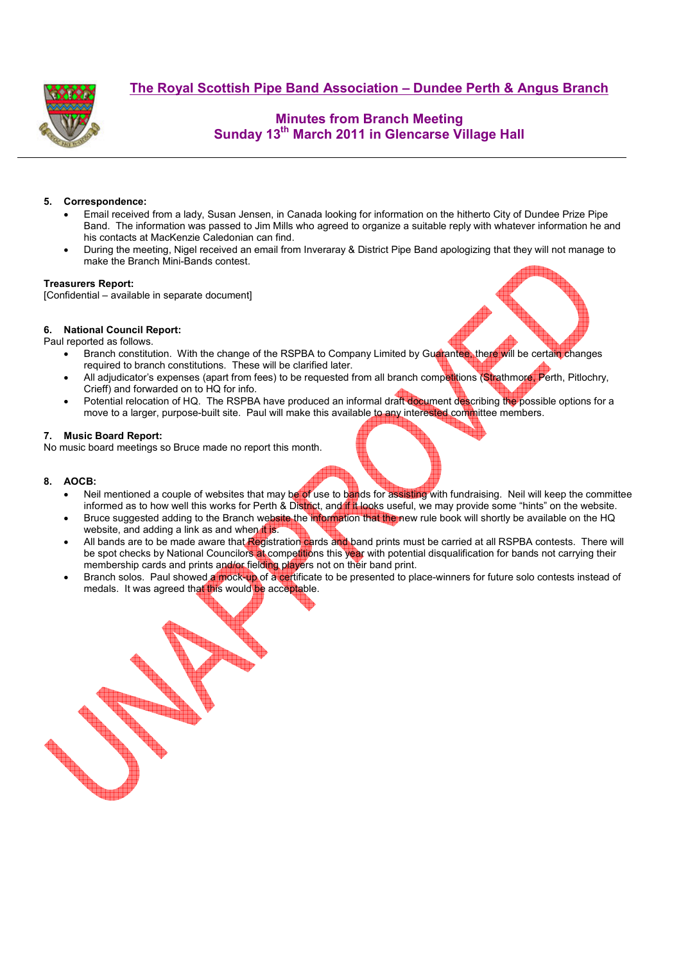



# **Minutes from Branch Meeting Sunday 13th March 2011 in Glencarse Village Hall**

### **5. Correspondence:**

- Email received from a lady, Susan Jensen, in Canada looking for information on the hitherto City of Dundee Prize Pipe Band. The information was passed to Jim Mills who agreed to organize a suitable reply with whatever information he and his contacts at MacKenzie Caledonian can find.
- During the meeting, Nigel received an email from Inveraray & District Pipe Band apologizing that they will not manage to make the Branch Mini-Bands contest.

#### **Treasurers Report:**

[Confidential – available in separate document]

#### **6. National Council Report:**

Paul reported as follows.

- Branch constitution. With the change of the RSPBA to Company Limited by Guarantee, there will be certain changes required to branch constitutions. These will be clarified later.
- All adjudicator's expenses (apart from fees) to be requested from all branch competitions (Strathmore, Perth, Pitlochry, Crieff) and forwarded on to HQ for info.
- Potential relocation of HQ. The RSPBA have produced an informal draft document describing the possible options for a move to a larger, purpose-built site. Paul will make this available to any interested committee members.

#### **7. Music Board Report:**

No music board meetings so Bruce made no report this month.

#### **8. AOCB:**

- Neil mentioned a couple of websites that may be of use to bands for assisting with fundraising. Neil will keep the committee informed as to how well this works for Perth & District, and if it looks useful, we may provide some "hints" on the website.
- Bruce suggested adding to the Branch website the information that the new rule book will shortly be available on the HQ website, and adding a link as and when it is.
- All bands are to be made aware that Registration cards and band prints must be carried at all RSPBA contests. There will be spot checks by National Councilors at competitions this year with potential disqualification for bands not carrying their membership cards and prints and/or fielding players not on their band print.
- Branch solos. Paul showed a mock-up of a certificate to be presented to place-winners for future solo contests instead of medals. It was agreed that this would be acceptable.